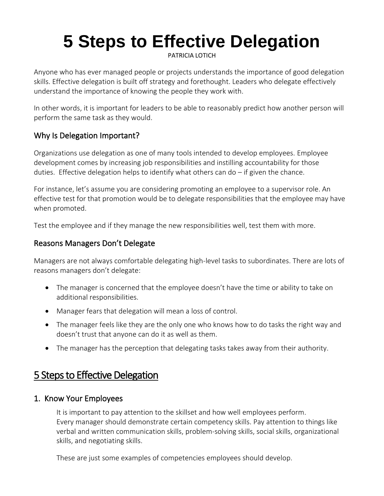# **5 Steps to Effective Delegation**

[PATRICIA LOTICH](https://thethrivingsmallbusiness.com/author/maggie/)

Anyone who has ever managed people or projects understands the importance of good delegation skills. Effective delegation is built off [strategy](https://thethrivingsmallbusiness.com/the-5-step-process-of-strategic-planning/) and forethought. Leaders who delegate effectively understand the importance of knowing the people they work with.

In other words, it is important for leaders to be able to reasonably predict how another person will perform the same task as they would.

## Why Is Delegation Important?

Organizations use delegation as one of many tools intended to develop employees. Employee development comes by increasing job responsibilities and instilling accountability for those duties. Effective delegation helps to identify what others can do – if given the chance.

For instance, let's assume you are considering [promoting an employee to a supervisor](https://thethrivingsmallbusiness.com/how-to-transition-an-employee-to-supervisor/) role. An effective test for that promotion would be to delegate responsibilities that the employee may have when promoted.

Test the employee and if they manage the new responsibilities well, test them with more.

#### Reasons Managers Don't Delegate

Managers are not always comfortable delegating high-level tasks to subordinates. There are lots of reasons managers don't delegate:

- The manager is concerned that the employee doesn't have the time or ability to take on additional responsibilities.
- Manager fears that delegation will mean a loss of control.
- The manager feels like they are the only one who knows how to do tasks the right way and doesn't trust that anyone can do it as well as them.
- The manager has the perception that delegating tasks takes away from their authority.

# 5 Steps to Effective Delegation

#### 1. Know Your Employees

It is important to pay attention to the skillset and how well [employees perform.](https://thethrivingsmallbusiness.com/3-performance-management-tactics/) Every [manager should demonstrate certain competency skills.](https://thethrivingsmallbusiness.com/manager-competencies/) Pay attention to things like verbal and written communication skills, [problem-solving](https://thethrivingsmallbusiness.com/small-business-problems/) skills, social skills, organizational skills, and [negotiating skills.](https://thethrivingsmallbusiness.com/12-steps-to-contract-negotiations/)

These are just some examples of competencies employees should develop.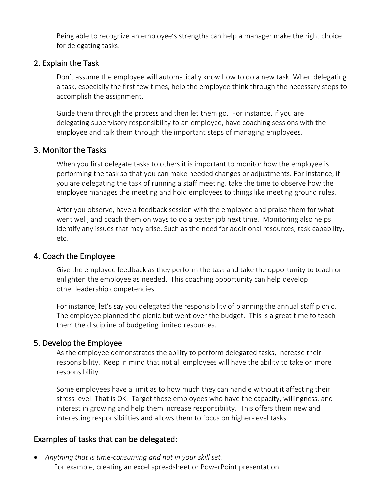Being able to recognize an employee's strengths can help a manager make the right choice for delegating tasks.

#### 2. Explain the Task

Don't assume the employee will automatically know how to do a new task. When delegating a task, especially the first few times, help the employee think through the necessary steps to accomplish the assignment.

Guide them through the process and then let them go. For instance, if you are delegating [supervisory responsibility](https://thethrivingsmallbusiness.com/how-to-transition-an-employee-to-supervisor/) to an employee, have [coaching sessions](https://thethrivingsmallbusiness.com/coaching-as-a-leadership-competency/) with the employee and talk them through the important steps of managing employees.

#### 3. Monitor the Tasks

When you first delegate tasks to others it is important to monitor how the employee is performing the task so that you can make needed changes or adjustments. For instance, if you are delegating the task of running a staff meeting, take the time to observe how the employee manages the meeting and hold employees to things like [meeting ground rules.](https://smartchurchmanagement.com/what-are-meeting-ground-rules/)

After you observe, have a feedback session with the employee and praise them for what went well, and coach them on ways to do a better job next time. Monitoring also helps identify any issues that may arise. Such as the need for additional resources, task capability, etc.

#### 4. Coach the Employee

Give the employee feedback as they perform the task and take the opportunity to teach or enlighten the employee as needed. This coaching opportunity can help develop other [leadership competencies.](https://thethrivingsmallbusiness.com/characteristics-of-effective-leadership/)

For instance, let's say you delegated the responsibility of planning the annual staff picnic. The employee planned the picnic but [went over the budget](https://thethrivingsmallbusiness.com/how-to-create-business-budget/). This is a great time to teach them the discipline of budgeting limited resources.

#### 5. Develop the Employee

As the employee demonstrates the ability to perform delegated tasks, increase their responsibility. Keep in mind that not all employees will have the ability to take on more responsibility.

Some employees have a limit as to how much they can handle without it affecting their stress level. That is OK. Target those employees who have the capacity, willingness, and interest in growing and help them increase responsibility. This offers them new and interesting responsibilities and allows them to focus on higher-level tasks.

#### Examples of tasks that can be delegated:

• *Anything that is time-consuming and not in your skill set.* For example, creating an excel spreadsheet or PowerPoint presentation.